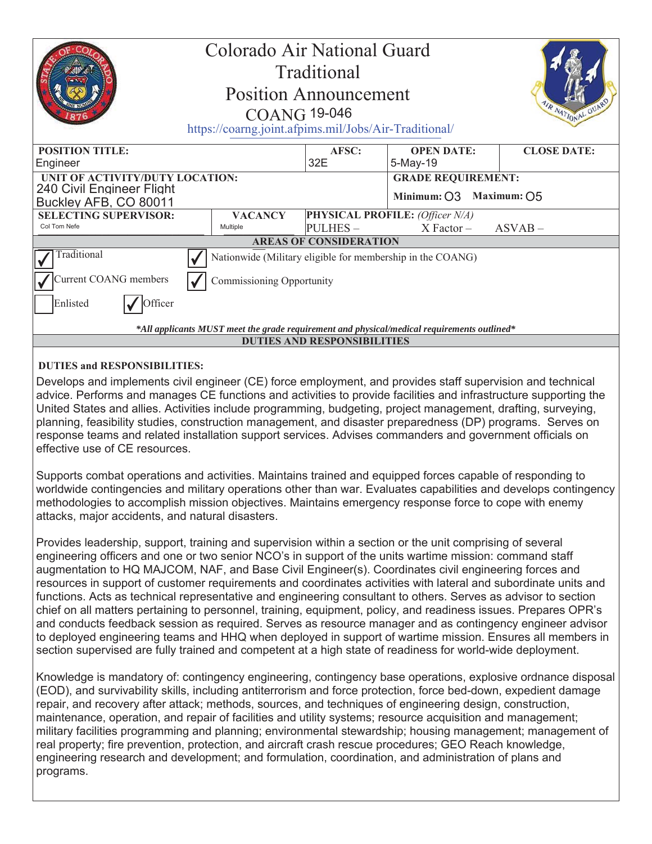|                                                                                                                                                   | Colorado Air National Guard<br>Traditional<br><b>Position Announcement</b><br><b>COANG 19-046</b><br>https://coarng.joint.afpims.mil/Jobs/Air-Traditional/ |                |                                 | R NATIONAL GUAR    |  |
|---------------------------------------------------------------------------------------------------------------------------------------------------|------------------------------------------------------------------------------------------------------------------------------------------------------------|----------------|---------------------------------|--------------------|--|
| <b>POSITION TITLE:</b>                                                                                                                            |                                                                                                                                                            | AFSC:          | <b>OPEN DATE:</b>               | <b>CLOSE DATE:</b> |  |
| Engineer                                                                                                                                          |                                                                                                                                                            | 32E            | 5-May-19                        |                    |  |
| UNIT OF ACTIVITY/DUTY LOCATION:                                                                                                                   |                                                                                                                                                            |                | <b>GRADE REQUIREMENT:</b>       |                    |  |
| 240 Civil Engineer Flight                                                                                                                         |                                                                                                                                                            |                | Minimum: O3 Maximum: O5         |                    |  |
| Buckley AFB, CO 80011                                                                                                                             |                                                                                                                                                            |                |                                 |                    |  |
| <b>SELECTING SUPERVISOR:</b><br>Col Tom Nefe                                                                                                      | <b>VACANCY</b>                                                                                                                                             |                | PHYSICAL PROFILE: (Officer N/A) |                    |  |
|                                                                                                                                                   | Multiple                                                                                                                                                   | <b>PULHES-</b> | $X Factor -$                    | $ASVAB -$          |  |
| <b>AREAS OF CONSIDERATION</b>                                                                                                                     |                                                                                                                                                            |                |                                 |                    |  |
| Traditional                                                                                                                                       | Nationwide (Military eligible for membership in the COANG)                                                                                                 |                |                                 |                    |  |
| Current COANG members                                                                                                                             | Commissioning Opportunity                                                                                                                                  |                |                                 |                    |  |
| Enlisted<br>Officer                                                                                                                               |                                                                                                                                                            |                |                                 |                    |  |
| *All applicants MUST meet the grade requirement and physical/medical requirements outlined*                                                       |                                                                                                                                                            |                |                                 |                    |  |
| <b>DUTIES AND RESPONSIBILITIES</b>                                                                                                                |                                                                                                                                                            |                |                                 |                    |  |
| <b>DUTIES and RESPONSIBILITIES:</b><br>Develops and implements civil engineer (CE) force employment, and provides staff supervision and technical |                                                                                                                                                            |                |                                 |                    |  |

advice. Performs and manages CE functions and activities to provide facilities and infrastructure supporting the United States and allies. Activities include programming, budgeting, project management, drafting, surveying, planning, feasibility studies, construction management, and disaster preparedness (DP) programs. Serves on response teams and related installation support services. Advises commanders and government officials on effective use of CE resources.

Supports combat operations and activities. Maintains trained and equipped forces capable of responding to worldwide contingencies and military operations other than war. Evaluates capabilities and develops contingency methodologies to accomplish mission objectives. Maintains emergency response force to cope with enemy attacks, major accidents, and natural disasters.

Provides leadership, support, training and supervision within a section or the unit comprising of several engineering officers and one or two senior NCO's in support of the units wartime mission: command staff augmentation to HQ MAJCOM, NAF, and Base Civil Engineer(s). Coordinates civil engineering forces and resources in support of customer requirements and coordinates activities with lateral and subordinate units and functions. Acts as technical representative and engineering consultant to others. Serves as advisor to section chief on all matters pertaining to personnel, training, equipment, policy, and readiness issues. Prepares OPR's and conducts feedback session as required. Serves as resource manager and as contingency engineer advisor to deployed engineering teams and HHQ when deployed in support of wartime mission. Ensures all members in section supervised are fully trained and competent at a high state of readiness for world-wide deployment.

Knowledge is mandatory of: contingency engineering, contingency base operations, explosive ordnance disposal (EOD), and survivability skills, including antiterrorism and force protection, force bed-down, expedient damage repair, and recovery after attack; methods, sources, and techniques of engineering design, construction, maintenance, operation, and repair of facilities and utility systems; resource acquisition and management; military facilities programming and planning; environmental stewardship; housing management; management of real property; fire prevention, protection, and aircraft crash rescue procedures; GEO Reach knowledge, engineering research and development; and formulation, coordination, and administration of plans and programs.